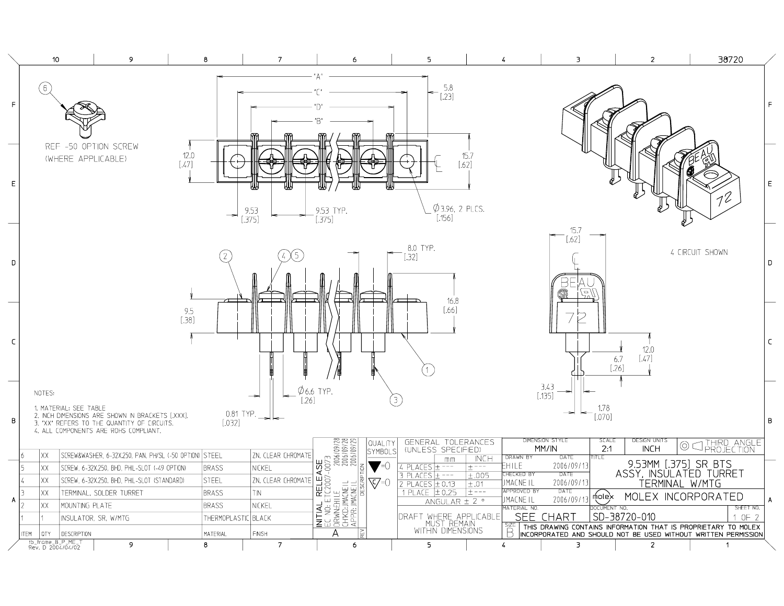